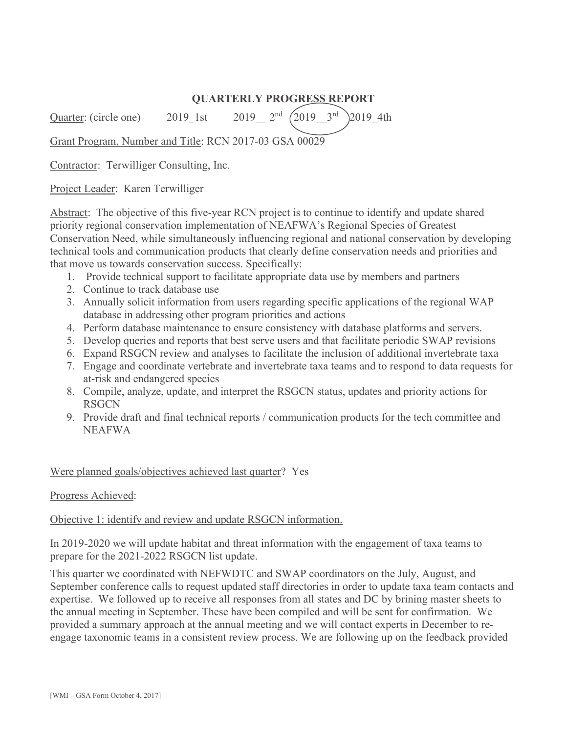# **QUARTERLY PROGRESS REPORT**

Quarter: (circle one) 2019 1st 2019  $2^{nd}$   $(2019-3^{rd})$  2019 4th

Grant Program, Number and Title: RCN 2017-03 GSA 00029

Contractor: Terwilliger Consulting, Inc.

Project Leader: Karen Terwilliger

Abstract: The objective of this five-year RCN project is to continue to identify and update shared priority regional conservation implementation of NEAFWA's Regional Species of Greatest Conservation Need, while simultaneously influencing regional and national conservation by developing technical tools and communication products that clearly define conservation needs and priorities and that move us towards conservation success. Specifically:

- 1. Provide technical support to facilitate appropriate data use by members and partners
- 2. Continue to track database use
- 3. Annually solicit information from users regarding specific applications of the regional WAP database in addressing other program priorities and actions
- 4. Perform database maintenance to ensure consistency with database platforms and servers.
- 5. Develop queries and reports that best serve users and that facilitate periodic SWAP revisions
- 6. Expand RSGCN review and analyses to facilitate the inclusion of additional invertebrate taxa
- 7. Engage and coordinate vertebrate and invertebrate taxa teams and to respond to data requests for at-risk and endangered species
- 8. Compile, analyze, update, and interpret the RSGCN status, updates and priority actions for **RSGCN**
- 9. Provide draft and final technical reports / communication products for the tech committee and NEAFWA

Were planned goals/objectives achieved last quarter? Yes

### Progress Achieved:

### Objective 1: identify and review and update RSGCN information.

In 2019-2020 we will update habitat and threat information with the engagement of taxa teams to prepare for the 2021-2022 RSGCN list update.

This quarter we coordinated with NEFWDTC and SWAP coordinators on the July, August, and September conference calls to request updated staff directories in order to update taxa team contacts and expertise. We followed up to receive all responses from all states and DC by brining master sheets to the annual meeting in September. These have been compiled and will be sent for confirmation. We provided a summary approach at the annual meeting and we will contact experts in December to reengage taxonomic teams in a consistent review process. We are following up on the feedback provided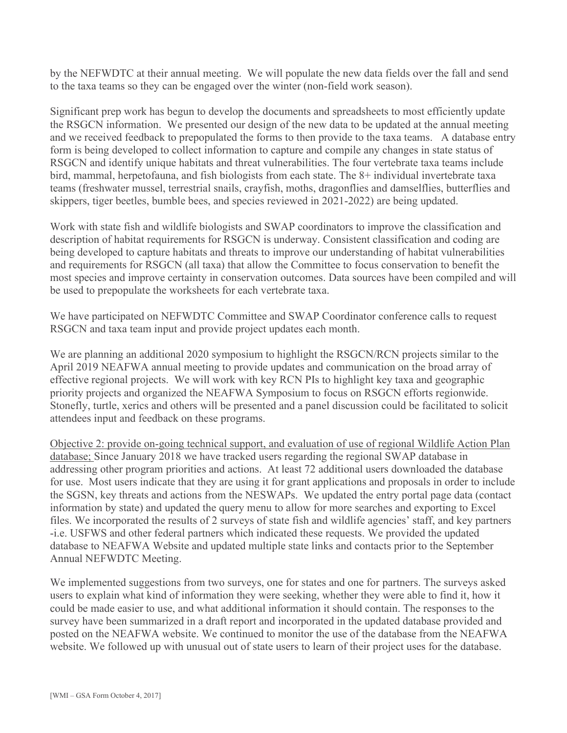by the NEFWDTC at their annual meeting. We will populate the new data fields over the fall and send to the taxa teams so they can be engaged over the winter (non-field work season).

Significant prep work has begun to develop the documents and spreadsheets to most efficiently update the RSGCN information. We presented our design of the new data to be updated at the annual meeting and we received feedback to prepopulated the forms to then provide to the taxa teams. A database entry form is being developed to collect information to capture and compile any changes in state status of RSGCN and identify unique habitats and threat vulnerabilities. The four vertebrate taxa teams include bird, mammal, herpetofauna, and fish biologists from each state. The 8+ individual invertebrate taxa teams (freshwater mussel, terrestrial snails, crayfish, moths, dragonflies and damselflies, butterflies and skippers, tiger beetles, bumble bees, and species reviewed in 2021-2022) are being updated.

Work with state fish and wildlife biologists and SWAP coordinators to improve the classification and description of habitat requirements for RSGCN is underway. Consistent classification and coding are being developed to capture habitats and threats to improve our understanding of habitat vulnerabilities and requirements for RSGCN (all taxa) that allow the Committee to focus conservation to benefit the most species and improve certainty in conservation outcomes. Data sources have been compiled and will be used to prepopulate the worksheets for each vertebrate taxa.

We have participated on NEFWDTC Committee and SWAP Coordinator conference calls to request RSGCN and taxa team input and provide project updates each month.

We are planning an additional 2020 symposium to highlight the RSGCN/RCN projects similar to the April 2019 NEAFWA annual meeting to provide updates and communication on the broad array of effective regional projects. We will work with key RCN PIs to highlight key taxa and geographic priority projects and organized the NEAFWA Symposium to focus on RSGCN efforts regionwide. Stonefly, turtle, xerics and others will be presented and a panel discussion could be facilitated to solicit attendees input and feedback on these programs.

Objective 2: provide on-going technical support, and evaluation of use of regional Wildlife Action Plan database; Since January 2018 we have tracked users regarding the regional SWAP database in addressing other program priorities and actions. At least 72 additional users downloaded the database for use. Most users indicate that they are using it for grant applications and proposals in order to include the SGSN, key threats and actions from the NESWAPs. We updated the entry portal page data (contact information by state) and updated the query menu to allow for more searches and exporting to Excel files. We incorporated the results of 2 surveys of state fish and wildlife agencies' staff, and key partners -i.e. USFWS and other federal partners which indicated these requests. We provided the updated database to NEAFWA Website and updated multiple state links and contacts prior to the September Annual NEFWDTC Meeting.

We implemented suggestions from two surveys, one for states and one for partners. The surveys asked users to explain what kind of information they were seeking, whether they were able to find it, how it could be made easier to use, and what additional information it should contain. The responses to the survey have been summarized in a draft report and incorporated in the updated database provided and posted on the NEAFWA website. We continued to monitor the use of the database from the NEAFWA website. We followed up with unusual out of state users to learn of their project uses for the database.